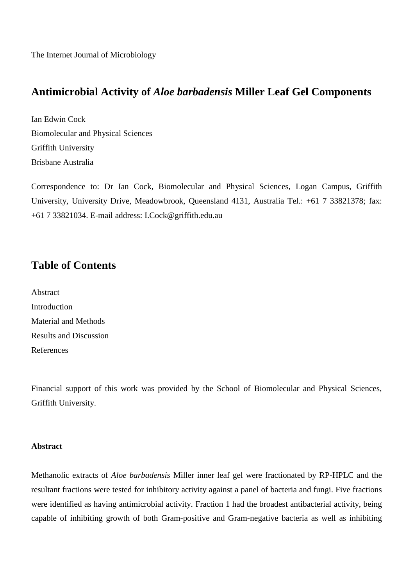The Internet Journal of Microbiology

# **Antimicrobial Activity of** *Aloe barbadensis* **Miller Leaf Gel Components**

Ian Edwin Cock Biomolecular and Physical Sciences Griffith University Brisbane Australia

Correspondence to: Dr Ian Cock, Biomolecular and Physical Sciences, Logan Campus, Griffith University, University Drive, Meadowbrook, Queensland 4131, Australia Tel.: +61 7 33821378; fax: +61 7 33821034. E-mail address: I.Cock@griffith.edu.au

# **Table of Contents**

| Abstract                      |
|-------------------------------|
| Introduction                  |
| <b>Material and Methods</b>   |
| <b>Results and Discussion</b> |
| References                    |

Financial support of this work was provided by the School of Biomolecular and Physical Sciences, Griffith University.

# **Abstract**

Methanolic extracts of *Aloe barbadensis* Miller inner leaf gel were fractionated by RP-HPLC and the resultant fractions were tested for inhibitory activity against a panel of bacteria and fungi. Five fractions were identified as having antimicrobial activity. Fraction 1 had the broadest antibacterial activity, being capable of inhibiting growth of both Gram-positive and Gram-negative bacteria as well as inhibiting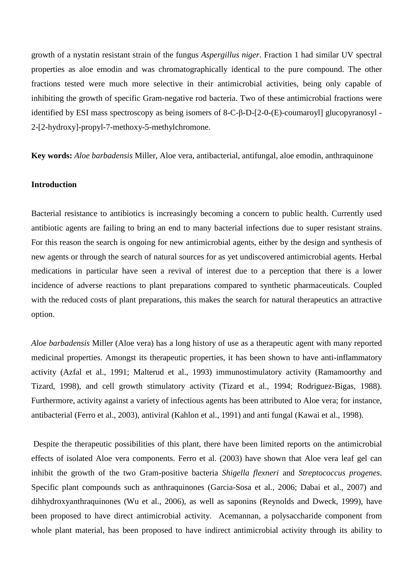growth of a nystatin resistant strain of the fungus *Aspergillus niger*. Fraction 1 had similar UV spectral properties as aloe emodin and was chromatographically identical to the pure compound. The other fractions tested were much more selective in their antimicrobial activities, being only capable of inhibiting the growth of specific Gram-negative rod bacteria. Two of these antimicrobial fractions were identified by ESI mass spectroscopy as being isomers of 8-C-β-D-[2-0-(E)-coumaroyl] glucopyranosyl - 2-[2-hydroxy]-propyl-7-methoxy-5-methylchromone.

**Key words:** *Aloe barbadensis* Miller, Aloe vera, antibacterial, antifungal*,* aloe emodin, anthraquinone

# **Introduction**

Bacterial resistance to antibiotics is increasingly becoming a concern to public health. Currently used antibiotic agents are failing to bring an end to many bacterial infections due to super resistant strains. For this reason the search is ongoing for new antimicrobial agents, either by the design and synthesis of new agents or through the search of natural sources for as yet undiscovered antimicrobial agents. Herbal medications in particular have seen a revival of interest due to a perception that there is a lower incidence of adverse reactions to plant preparations compared to synthetic pharmaceuticals. Coupled with the reduced costs of plant preparations, this makes the search for natural therapeutics an attractive option.

*Aloe barbadensis* Miller (Aloe vera) has a long history of use as a therapeutic agent with many reported medicinal properties. Amongst its therapeutic properties, it has been shown to have anti-inflammatory activity (Azfal et al., 1991; Malterud et al., 1993) immunostimulatory activity (Ramamoorthy and Tizard, 1998), and cell growth stimulatory activity (Tizard et al., 1994; Rodriguez-Bigas, 1988). Furthermore, activity against a variety of infectious agents has been attributed to Aloe vera; for instance, antibacterial (Ferro et al., 2003), antiviral (Kahlon et al., 1991) and anti fungal (Kawai et al., 1998).

Despite the therapeutic possibilities of this plant, there have been limited reports on the antimicrobial effects of isolated Aloe vera components. Ferro et al. (2003) have shown that Aloe vera leaf gel can inhibit the growth of the two Gram-positive bacteria *Shigella flexneri* and *Streptococcus progenes*. Specific plant compounds such as anthraquinones (Garcia-Sosa et al., 2006; Dabai et al., 2007) and dihhydroxyanthraquinones (Wu et al., 2006), as well as saponins (Reynolds and Dweck, 1999), have been proposed to have direct antimicrobial activity. Acemannan, a polysaccharide component from whole plant material, has been proposed to have indirect antimicrobial activity through its ability to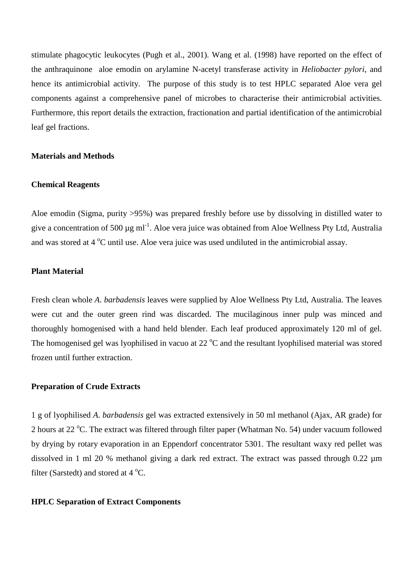stimulate phagocytic leukocytes (Pugh et al., 2001). Wang et al. (1998) have reported on the effect of the anthraquinone aloe emodin on arylamine N-acetyl transferase activity in *Heliobacter pylori*, and hence its antimicrobial activity. The purpose of this study is to test HPLC separated Aloe vera gel components against a comprehensive panel of microbes to characterise their antimicrobial activities. Furthermore, this report details the extraction, fractionation and partial identification of the antimicrobial leaf gel fractions.

## **Materials and Methods**

## **Chemical Reagents**

Aloe emodin (Sigma, purity >95%) was prepared freshly before use by dissolving in distilled water to give a concentration of 500  $\mu$ g ml<sup>-1</sup>. Aloe vera juice was obtained from Aloe Wellness Pty Ltd, Australia and was stored at  $4^{\circ}$ C until use. Aloe vera juice was used undiluted in the antimicrobial assay.

# **Plant Material**

Fresh clean whole *A*. *barbadensis* leaves were supplied by Aloe Wellness Pty Ltd, Australia. The leaves were cut and the outer green rind was discarded. The mucilaginous inner pulp was minced and thoroughly homogenised with a hand held blender. Each leaf produced approximately 120 ml of gel. The homogenised gel was lyophilised in vacuo at  $22^{\circ}$ C and the resultant lyophilised material was stored frozen until further extraction.

## **Preparation of Crude Extracts**

1 g of lyophilised *A*. *barbadensis* gel was extracted extensively in 50 ml methanol (Ajax, AR grade) for 2 hours at 22  $^{\circ}$ C. The extract was filtered through filter paper (Whatman No. 54) under vacuum followed by drying by rotary evaporation in an Eppendorf concentrator 5301. The resultant waxy red pellet was dissolved in 1 ml 20 % methanol giving a dark red extract. The extract was passed through 0.22  $\mu$ m filter (Sarstedt) and stored at  $4^{\circ}$ C.

#### **HPLC Separation of Extract Components**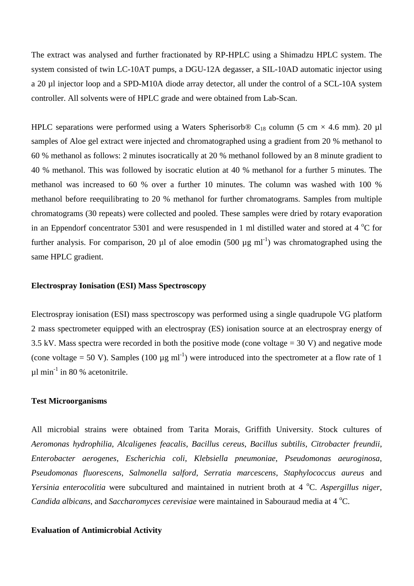The extract was analysed and further fractionated by RP-HPLC using a Shimadzu HPLC system. The system consisted of twin LC-10AT pumps, a DGU-12A degasser, a SIL-10AD automatic injector using a 20 µl injector loop and a SPD-M10A diode array detector, all under the control of a SCL-10A system controller. All solvents were of HPLC grade and were obtained from Lab-Scan.

HPLC separations were performed using a Waters Spherisorb® C<sub>18</sub> column (5 cm  $\times$  4.6 mm). 20 µl samples of Aloe gel extract were injected and chromatographed using a gradient from 20 % methanol to 60 % methanol as follows: 2 minutes isocratically at 20 % methanol followed by an 8 minute gradient to 40 % methanol. This was followed by isocratic elution at 40 % methanol for a further 5 minutes. The methanol was increased to 60 % over a further 10 minutes. The column was washed with 100 % methanol before reequilibrating to 20 % methanol for further chromatograms. Samples from multiple chromatograms (30 repeats) were collected and pooled. These samples were dried by rotary evaporation in an Eppendorf concentrator 5301 and were resuspended in 1 ml distilled water and stored at 4  $^{\circ}$ C for further analysis. For comparison, 20  $\mu$ l of aloe emodin (500  $\mu$ g ml<sup>-1</sup>) was chromatographed using the same HPLC gradient.

# **Electrospray Ionisation (ESI) Mass Spectroscopy**

Electrospray ionisation (ESI) mass spectroscopy was performed using a single quadrupole VG platform 2 mass spectrometer equipped with an electrospray (ES) ionisation source at an electrospray energy of 3.5 kV. Mass spectra were recorded in both the positive mode (cone voltage  $=$  30 V) and negative mode (cone voltage = 50 V). Samples (100  $\mu$ g ml<sup>-1</sup>) were introduced into the spectrometer at a flow rate of 1  $\mu$ l min<sup>-1</sup> in 80 % acetonitrile.

#### **Test Microorganisms**

All microbial strains were obtained from Tarita Morais, Griffith University. Stock cultures of *Aeromonas hydrophilia*, *Alcaligenes feacalis*, *Bacillus cereus*, *Bacillus subtilis*, *Citrobacter freundii*, *Enterobacter aerogenes*, *Escherichia coli*, *Klebsiella pneumoniae*, *Pseudomonas aeuroginosa*, *Pseudomonas fluorescens*, *Salmonella salford*, *Serratia marcescens*, *Staphylococcus aureus* and *Yersinia enterocolitia* were subcultured and maintained in nutrient broth at 4 °C. Aspergillus niger, *Candida albicans*, and *Saccharomyces cerevisiae* were maintained in Sabouraud media at 4 °C.

## **Evaluation of Antimicrobial Activity**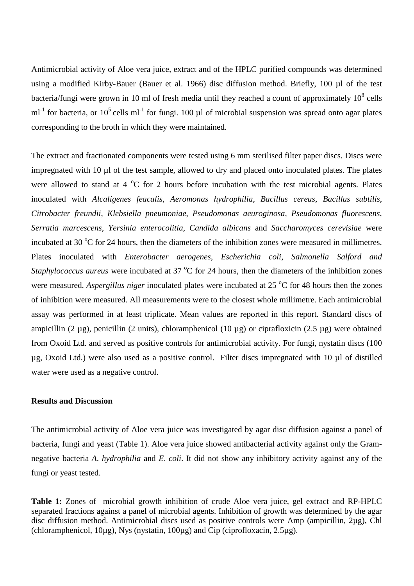Antimicrobial activity of Aloe vera juice, extract and of the HPLC purified compounds was determined using a modified Kirby-Bauer (Bauer et al. 1966) disc diffusion method. Briefly, 100 µl of the test bacteria/fungi were grown in 10 ml of fresh media until they reached a count of approximately  $10^8$  cells ml<sup>-1</sup> for bacteria, or 10<sup>5</sup> cells ml<sup>-1</sup> for fungi. 100 µl of microbial suspension was spread onto agar plates corresponding to the broth in which they were maintained.

The extract and fractionated components were tested using 6 mm sterilised filter paper discs. Discs were impregnated with 10 µl of the test sample, allowed to dry and placed onto inoculated plates. The plates were allowed to stand at 4  $^{\circ}$ C for 2 hours before incubation with the test microbial agents. Plates inoculated with *Alcaligenes feacalis*, *Aeromonas hydrophilia*, *Bacillus cereus*, *Bacillus subtilis*, *Citrobacter freundii*, *Klebsiella pneumoniae*, *Pseudomonas aeuroginosa, Pseudomonas fluorescens*, *Serratia marcescens*, *Yersinia enterocolitia*, *Candida albicans* and *Saccharomyces cerevisiae* were incubated at 30  $\degree$ C for 24 hours, then the diameters of the inhibition zones were measured in millimetres. Plates inoculated with *Enterobacter aerogenes*, *Escherichia coli*, *Salmonella Salford and Staphylococcus aureus* were incubated at 37 °C for 24 hours, then the diameters of the inhibition zones were measured. *Aspergillus niger* inoculated plates were incubated at 25 °C for 48 hours then the zones of inhibition were measured. All measurements were to the closest whole millimetre. Each antimicrobial assay was performed in at least triplicate. Mean values are reported in this report. Standard discs of ampicillin (2  $\mu$ g), penicillin (2 units), chloramphenicol (10  $\mu$ g) or ciprafloxicin (2.5  $\mu$ g) were obtained from Oxoid Ltd. and served as positive controls for antimicrobial activity. For fungi, nystatin discs (100 µg, Oxoid Ltd.) were also used as a positive control. Filter discs impregnated with 10 µl of distilled water were used as a negative control.

# **Results and Discussion**

The antimicrobial activity of Aloe vera juice was investigated by agar disc diffusion against a panel of bacteria, fungi and yeast (Table 1). Aloe vera juice showed antibacterial activity against only the Gramnegative bacteria *A*. *hydrophilia* and *E*. *coli*. It did not show any inhibitory activity against any of the fungi or yeast tested.

**Table 1:** Zones of microbial growth inhibition of crude Aloe vera juice, gel extract and RP-HPLC separated fractions against a panel of microbial agents. Inhibition of growth was determined by the agar disc diffusion method. Antimicrobial discs used as positive controls were Amp (ampicillin, 2µg), Chl (chloramphenicol, 10µg), Nys (nystatin, 100µg) and Cip (ciprofloxacin, 2.5µg).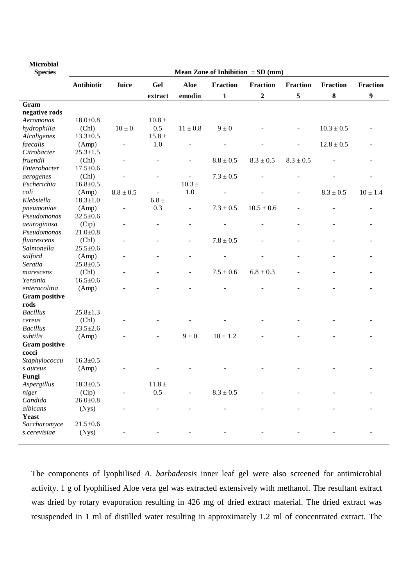| <b>Microbial</b>     |                                       |                          |                |                          |                 |                  |                          |                 |                 |
|----------------------|---------------------------------------|--------------------------|----------------|--------------------------|-----------------|------------------|--------------------------|-----------------|-----------------|
| <b>Species</b>       | Mean Zone of Inhibition $\pm SD$ (mm) |                          |                |                          |                 |                  |                          |                 |                 |
|                      | <b>Antibiotic</b>                     | Juice                    | Gel            | Aloe                     | <b>Fraction</b> | Fraction         | <b>Fraction</b>          | <b>Fraction</b> | <b>Fraction</b> |
|                      |                                       |                          |                | emodin                   | $\mathbf{1}$    | $\boldsymbol{2}$ | 5                        | 8               | 9               |
| Gram                 |                                       |                          | extract        |                          |                 |                  |                          |                 |                 |
| negative rods        |                                       |                          |                |                          |                 |                  |                          |                 |                 |
| Aeromonas            | $18.0 \pm 0.8$                        |                          | $10.8 \pm$     |                          |                 |                  |                          |                 |                 |
| hydrophilia          | (Chl)                                 | $10 \pm 0$               | 0.5            | $11 \pm 0.8$             | $9 \pm 0$       |                  | ÷,                       | $10.3 \pm 0.5$  |                 |
| Alcaligenes          | $13.3 \pm 0.5$                        |                          | $15.8 \pm$     |                          |                 |                  |                          |                 |                 |
| faecalis             | (Amp)                                 | $\overline{\phantom{a}}$ | 1.0            |                          |                 |                  | $\overline{\phantom{a}}$ | $12.8 \pm 0.5$  |                 |
| Citrobacter          | $25.3 \pm 1.5$                        |                          |                |                          |                 |                  |                          |                 |                 |
|                      |                                       |                          |                |                          | $8.8 \pm 0.5$   | $8.3 \pm 0.5$    | $8.3 \pm 0.5$            |                 |                 |
| fruendii             | (Chl)<br>$17.5 \pm 0.6$               | $\blacksquare$           |                | $\blacksquare$           |                 |                  |                          |                 |                 |
| Enterobacter         |                                       |                          |                |                          |                 |                  |                          |                 |                 |
| aerogenes            | (Chl)                                 |                          | $\blacksquare$ | $\overline{\phantom{a}}$ | $7.3 \pm 0.5$   |                  |                          |                 |                 |
| Escherichia          | $16.8 \pm 0.5$                        |                          |                | $10.3 \pm$               |                 |                  |                          |                 |                 |
| coli                 | (Amp)                                 | $8.8\pm0.5$              | $\blacksquare$ | 1.0                      |                 |                  | $\overline{\phantom{a}}$ | $8.3 \pm 0.5$   | $10 \pm 1.4$    |
| Klebsiella           | $18.3 \pm 1.0$                        |                          | $6.8 \pm$      |                          |                 |                  |                          |                 |                 |
| pneumoniae           | (Amp)                                 | $\blacksquare$           | 0.3            | $\blacksquare$           | $7.3 \pm 0.5$   | $10.5 \pm 0.6$   |                          |                 |                 |
| Pseudomonas          | $32.5 \pm 0.6$                        |                          |                |                          |                 |                  |                          |                 |                 |
| aeuroginosa          | (Cip)                                 | ÷,                       |                |                          |                 |                  |                          |                 |                 |
| Pseudomonas          | $21.0 \pm 0.8$                        |                          |                |                          |                 |                  |                          |                 |                 |
| fluorescens          | (Chl)                                 | $\overline{\phantom{a}}$ |                | $\overline{a}$           | $7.8 \pm 0.5$   |                  |                          |                 |                 |
| Salmonella           | $25.5 \pm 0.6$                        |                          |                |                          |                 |                  |                          |                 |                 |
| salford              | (Amp)                                 | $\overline{\phantom{a}}$ |                |                          |                 |                  |                          |                 |                 |
| Seratia              | $25.8 \pm 0.5$                        |                          |                |                          |                 |                  |                          |                 |                 |
| marescens            | (Chl)                                 |                          |                | $\overline{\phantom{a}}$ | $7.5 \pm 0.6$   | $6.8 \pm 0.3$    |                          |                 |                 |
| Yersinia             | $16.5 \pm 0.6$                        |                          |                |                          |                 |                  |                          |                 |                 |
| enterocolitia        | (Amp)                                 |                          |                |                          |                 |                  |                          |                 |                 |
| <b>Gram positive</b> |                                       |                          |                |                          |                 |                  |                          |                 |                 |
| rods                 |                                       |                          |                |                          |                 |                  |                          |                 |                 |
| <b>Bacillus</b>      | $25.8 \pm 1.3$                        |                          |                |                          |                 |                  |                          |                 |                 |
| cereus               | (Chl)                                 |                          |                |                          |                 |                  |                          |                 |                 |
| <b>Bacillus</b>      | $23.5 \pm 2.6$                        |                          |                |                          |                 |                  |                          |                 |                 |
| subtilis             | (Amp)                                 |                          |                | $9 \pm 0$                | $10 \pm 1.2$    |                  |                          |                 |                 |
| <b>Gram positive</b> |                                       |                          |                |                          |                 |                  |                          |                 |                 |
| cocci                |                                       |                          |                |                          |                 |                  |                          |                 |                 |
| Staphylococcu        | $16.3 \pm 0.5$                        |                          |                |                          |                 |                  |                          |                 |                 |
| s aureus             | (Amp)                                 |                          |                |                          |                 |                  |                          |                 |                 |
| Fungi                |                                       |                          |                |                          |                 |                  |                          |                 |                 |
| Aspergillus          | $18.3 \pm 0.5$                        |                          | $11.8\,\pm$    |                          |                 |                  |                          |                 |                 |
| niger                | (Cip)                                 |                          | 0.5            |                          | $8.3\pm0.5$     |                  |                          |                 |                 |
| Candida              | $26.0 \pm 0.8$                        |                          |                |                          |                 |                  |                          |                 |                 |
| albicans             | (Nys)                                 |                          |                |                          |                 |                  |                          |                 |                 |
| <b>Yeast</b>         |                                       |                          |                |                          |                 |                  |                          |                 |                 |
| Saccharomyce         | $21.5 \pm 0.6$                        |                          |                |                          |                 |                  |                          |                 |                 |
| s cerevisiae         | (Nys)                                 |                          |                |                          |                 |                  |                          |                 |                 |
|                      |                                       |                          |                |                          |                 |                  |                          |                 |                 |

The components of lyophilised *A*. *barbadensis* inner leaf gel were also screened for antimicrobial activity. 1 g of lyophilised Aloe vera gel was extracted extensively with methanol. The resultant extract was dried by rotary evaporation resulting in 426 mg of dried extract material. The dried extract was resuspended in 1 ml of distilled water resulting in approximately 1.2 ml of concentrated extract. The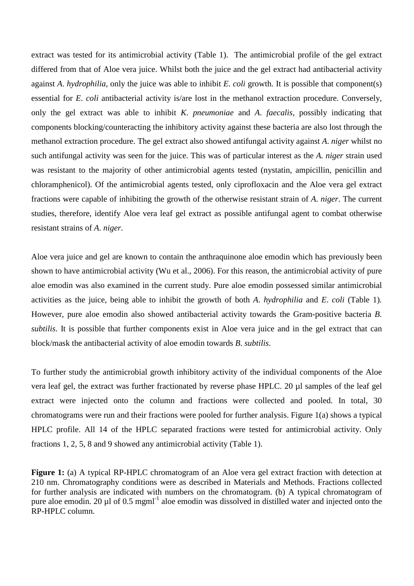extract was tested for its antimicrobial activity (Table 1). The antimicrobial profile of the gel extract differed from that of Aloe vera juice. Whilst both the juice and the gel extract had antibacterial activity against *A*. *hydrophilia*, only the juice was able to inhibit *E*. *coli* growth. It is possible that component(s) essential for *E*. *coli* antibacterial activity is/are lost in the methanol extraction procedure. Conversely, only the gel extract was able to inhibit *K*. *pneumoniae* and *A*. *faecalis*, possibly indicating that components blocking/counteracting the inhibitory activity against these bacteria are also lost through the methanol extraction procedure. The gel extract also showed antifungal activity against *A*. *niger* whilst no such antifungal activity was seen for the juice. This was of particular interest as the *A. niger* strain used was resistant to the majority of other antimicrobial agents tested (nystatin, ampicillin, penicillin and chloramphenicol). Of the antimicrobial agents tested, only ciprofloxacin and the Aloe vera gel extract fractions were capable of inhibiting the growth of the otherwise resistant strain of *A*. *niger*. The current studies, therefore, identify Aloe vera leaf gel extract as possible antifungal agent to combat otherwise resistant strains of *A*. *niger*.

Aloe vera juice and gel are known to contain the anthraquinone aloe emodin which has previously been shown to have antimicrobial activity (Wu et al., 2006). For this reason, the antimicrobial activity of pure aloe emodin was also examined in the current study. Pure aloe emodin possessed similar antimicrobial activities as the juice, being able to inhibit the growth of both *A*. *hydrophilia* and *E*. *coli* (Table 1)*.* However, pure aloe emodin also showed antibacterial activity towards the Gram-positive bacteria *B*. *subtilis*. It is possible that further components exist in Aloe vera juice and in the gel extract that can block/mask the antibacterial activity of aloe emodin towards *B*. *subtilis*.

To further study the antimicrobial growth inhibitory activity of the individual components of the Aloe vera leaf gel, the extract was further fractionated by reverse phase HPLC. 20 µl samples of the leaf gel extract were injected onto the column and fractions were collected and pooled. In total, 30 chromatograms were run and their fractions were pooled for further analysis. Figure 1(a) shows a typical HPLC profile. All 14 of the HPLC separated fractions were tested for antimicrobial activity. Only fractions 1, 2, 5, 8 and 9 showed any antimicrobial activity (Table 1).

**Figure 1:** (a) A typical RP-HPLC chromatogram of an Aloe vera gel extract fraction with detection at 210 nm. Chromatography conditions were as described in Materials and Methods. Fractions collected for further analysis are indicated with numbers on the chromatogram. (b) A typical chromatogram of pure aloe emodin. 20 µl of 0.5 mgml<sup>-1</sup> aloe emodin was dissolved in distilled water and injected onto the RP-HPLC column.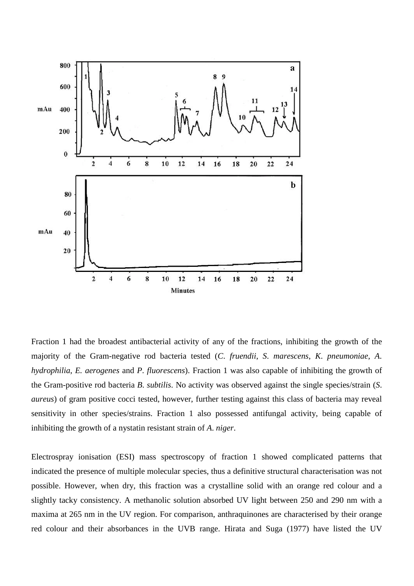

Fraction 1 had the broadest antibacterial activity of any of the fractions, inhibiting the growth of the majority of the Gram-negative rod bacteria tested (*C*. *fruendii*, *S*. *marescens*, *K*. *pneumoniae*, *A*. *hydrophilia*, *E. aerogenes* and *P*. *fluorescens*). Fraction 1 was also capable of inhibiting the growth of the Gram-positive rod bacteria *B*. *subtilis*. No activity was observed against the single species/strain (*S*. *aureus*) of gram positive cocci tested, however, further testing against this class of bacteria may reveal sensitivity in other species/strains. Fraction 1 also possessed antifungal activity, being capable of inhibiting the growth of a nystatin resistant strain of *A*. *niger*.

Electrospray ionisation (ESI) mass spectroscopy of fraction 1 showed complicated patterns that indicated the presence of multiple molecular species, thus a definitive structural characterisation was not possible. However, when dry, this fraction was a crystalline solid with an orange red colour and a slightly tacky consistency. A methanolic solution absorbed UV light between 250 and 290 nm with a maxima at 265 nm in the UV region. For comparison, anthraquinones are characterised by their orange red colour and their absorbances in the UVB range. Hirata and Suga (1977) have listed the UV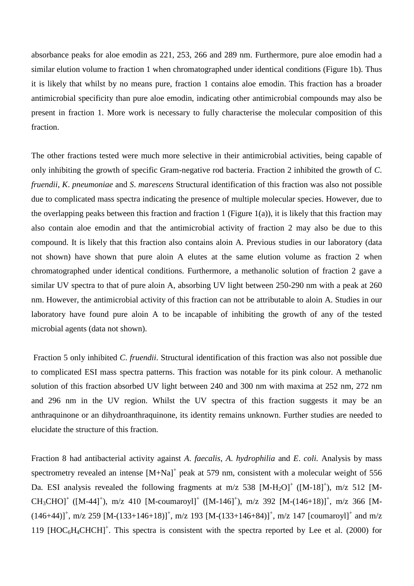absorbance peaks for aloe emodin as 221, 253, 266 and 289 nm. Furthermore, pure aloe emodin had a similar elution volume to fraction 1 when chromatographed under identical conditions (Figure 1b). Thus it is likely that whilst by no means pure, fraction 1 contains aloe emodin. This fraction has a broader antimicrobial specificity than pure aloe emodin, indicating other antimicrobial compounds may also be present in fraction 1. More work is necessary to fully characterise the molecular composition of this fraction.

The other fractions tested were much more selective in their antimicrobial activities, being capable of only inhibiting the growth of specific Gram-negative rod bacteria. Fraction 2 inhibited the growth of *C*. *fruendii*, *K*. *pneumoniae* and *S*. *marescens* Structural identification of this fraction was also not possible due to complicated mass spectra indicating the presence of multiple molecular species. However, due to the overlapping peaks between this fraction and fraction 1 (Figure 1(a)), it is likely that this fraction may also contain aloe emodin and that the antimicrobial activity of fraction 2 may also be due to this compound. It is likely that this fraction also contains aloin A. Previous studies in our laboratory (data not shown) have shown that pure aloin A elutes at the same elution volume as fraction 2 when chromatographed under identical conditions. Furthermore, a methanolic solution of fraction 2 gave a similar UV spectra to that of pure aloin A, absorbing UV light between 250-290 nm with a peak at 260 nm. However, the antimicrobial activity of this fraction can not be attributable to aloin A. Studies in our laboratory have found pure aloin A to be incapable of inhibiting the growth of any of the tested microbial agents (data not shown).

Fraction 5 only inhibited *C*. *fruendii*. Structural identification of this fraction was also not possible due to complicated ESI mass spectra patterns. This fraction was notable for its pink colour. A methanolic solution of this fraction absorbed UV light between 240 and 300 nm with maxima at 252 nm, 272 nm and 296 nm in the UV region. Whilst the UV spectra of this fraction suggests it may be an anthraquinone or an dihydroanthraquinone, its identity remains unknown. Further studies are needed to elucidate the structure of this fraction.

Fraction 8 had antibacterial activity against *A*. *faecalis*, *A*. *hydrophilia* and *E*. *coli.* Analysis by mass spectrometry revealed an intense  $[M+Na]^+$  peak at 579 nm, consistent with a molecular weight of 556 Da. ESI analysis revealed the following fragments at m/z 538  $[M-H_2O]^+$  ( $[M-18]^+$ ), m/z 512 [M- $CH_3CHOJ^+$  ([M-44]<sup>+</sup>), m/z 410 [M-coumaroyl]<sup>+</sup> ([M-146]<sup>+</sup>), m/z 392 [M-(146+18)]<sup>+</sup>, m/z 366 [M- $(146+44)$ <sup>+</sup>, m/z 259 [M-(133+146+18)]<sup>+</sup>, m/z 193 [M-(133+146+84)]<sup>+</sup>, m/z 147 [coumaroyl]<sup>+</sup> and m/z 119  $[HOC_6H_4CHCH]^+$ . This spectra is consistent with the spectra reported by Lee et al. (2000) for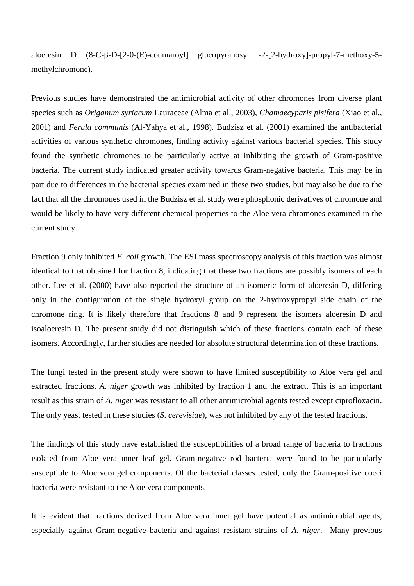aloeresin D (8-C-β-D-[2-0-(E)-coumaroyl] glucopyranosyl -2-[2-hydroxy]-propyl-7-methoxy-5 methylchromone).

Previous studies have demonstrated the antimicrobial activity of other chromones from diverse plant species such as *Origanum syriacum* Lauraceae (Alma et al., 2003), *Chamaecyparis pisifera* (Xiao et al., 2001) and *Ferula communis* (Al-Yahya et al., 1998). Budzisz et al. (2001) examined the antibacterial activities of various synthetic chromones, finding activity against various bacterial species. This study found the synthetic chromones to be particularly active at inhibiting the growth of Gram-positive bacteria. The current study indicated greater activity towards Gram-negative bacteria. This may be in part due to differences in the bacterial species examined in these two studies, but may also be due to the fact that all the chromones used in the Budzisz et al. study were phosphonic derivatives of chromone and would be likely to have very different chemical properties to the Aloe vera chromones examined in the current study.

Fraction 9 only inhibited *E*. *coli* growth. The ESI mass spectroscopy analysis of this fraction was almost identical to that obtained for fraction 8, indicating that these two fractions are possibly isomers of each other. Lee et al. (2000) have also reported the structure of an isomeric form of aloeresin D, differing only in the configuration of the single hydroxyl group on the 2-hydroxypropyl side chain of the chromone ring. It is likely therefore that fractions 8 and 9 represent the isomers aloeresin D and isoaloeresin D. The present study did not distinguish which of these fractions contain each of these isomers. Accordingly, further studies are needed for absolute structural determination of these fractions.

The fungi tested in the present study were shown to have limited susceptibility to Aloe vera gel and extracted fractions. *A*. *niger* growth was inhibited by fraction 1 and the extract. This is an important result as this strain of *A*. *niger* was resistant to all other antimicrobial agents tested except ciprofloxacin. The only yeast tested in these studies (*S*. *cerevisiae*), was not inhibited by any of the tested fractions.

The findings of this study have established the susceptibilities of a broad range of bacteria to fractions isolated from Aloe vera inner leaf gel. Gram-negative rod bacteria were found to be particularly susceptible to Aloe vera gel components. Of the bacterial classes tested, only the Gram-positive cocci bacteria were resistant to the Aloe vera components.

It is evident that fractions derived from Aloe vera inner gel have potential as antimicrobial agents, especially against Gram-negative bacteria and against resistant strains of *A*. *niger*. Many previous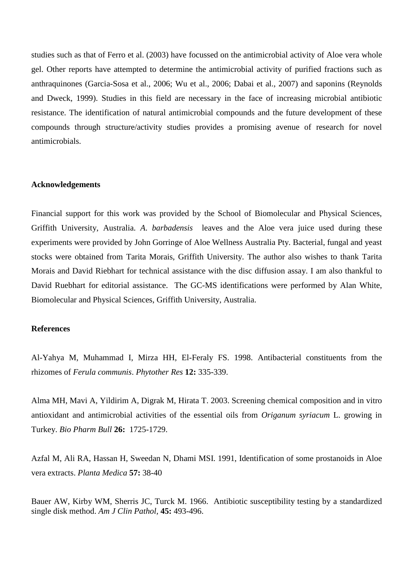studies such as that of Ferro et al. (2003) have focussed on the antimicrobial activity of Aloe vera whole gel. Other reports have attempted to determine the antimicrobial activity of purified fractions such as anthraquinones (Garcia-Sosa et al., 2006; Wu et al., 2006; Dabai et al., 2007) and saponins (Reynolds and Dweck, 1999). Studies in this field are necessary in the face of increasing microbial antibiotic resistance. The identification of natural antimicrobial compounds and the future development of these compounds through structure/activity studies provides a promising avenue of research for novel antimicrobials.

## **Acknowledgements**

Financial support for this work was provided by the School of Biomolecular and Physical Sciences, Griffith University, Australia. *A*. *barbadensis* leaves and the Aloe vera juice used during these experiments were provided by John Gorringe of Aloe Wellness Australia Pty. Bacterial, fungal and yeast stocks were obtained from Tarita Morais, Griffith University. The author also wishes to thank Tarita Morais and David Riebhart for technical assistance with the disc diffusion assay. I am also thankful to David Ruebhart for editorial assistance. The GC-MS identifications were performed by Alan White, Biomolecular and Physical Sciences, Griffith University, Australia.

## **References**

Al-Yahya M, Muhammad I, Mirza HH, El-Feraly FS. 1998. Antibacterial constituents from the rhizomes of *Ferula communis*. *Phytother Res* **12:** 335-339.

Alma MH, Mavi A, Yildirim A, Digrak M, Hirata T. 2003. Screening chemical composition and in vitro antioxidant and antimicrobial activities of the essential oils from *Origanum syriacum* L. growing in Turkey. *Bio Pharm Bull* **26:** 1725-1729.

Azfal M, Ali RA, Hassan H, Sweedan N, Dhami MSI. 1991, Identification of some prostanoids in Aloe vera extracts. *Planta Medica* **57:** 38-40

Bauer AW, Kirby WM, Sherris JC, Turck M. 1966. Antibiotic susceptibility testing by a standardized single disk method. *Am J Clin Pathol,* **45:** 493-496.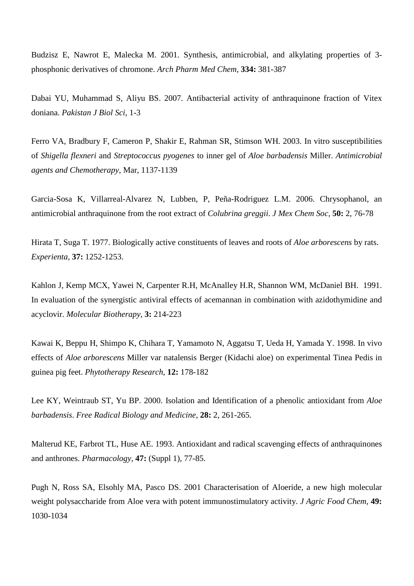Budzisz E, Nawrot E, Malecka M. 2001. Synthesis, antimicrobial, and alkylating properties of 3 phosphonic derivatives of chromone. *Arch Pharm Med Chem*, **334:** 381-387

Dabai YU, Muhammad S, Aliyu BS. 2007. Antibacterial activity of anthraquinone fraction of Vitex doniana. *Pakistan J Biol Sci*, 1-3

Ferro VA, Bradbury F, Cameron P, Shakir E, Rahman SR, Stimson WH. 2003. In vitro susceptibilities of *Shigella flexneri* and *Streptococcus pyogenes* to inner gel of *Aloe barbadensis* Miller. *Antimicrobial agents and Chemotherapy*, Mar, 1137-1139

Garcia-Sosa K, Villarreal-Alvarez N, Lubben, P, Peña-Rodriguez L.M. 2006. Chrysophanol, an antimicrobial anthraquinone from the root extract of *Colubrina greggii*. *J Mex Chem Soc*, **50:** 2, 76-78

Hirata T, Suga T. 1977. Biologically active constituents of leaves and roots of *Aloe arborescens* by rats. *Experienta*, **37:** 1252-1253.

Kahlon J, Kemp MCX, Yawei N, Carpenter R.H, McAnalley H.R, Shannon WM, McDaniel BH. 1991. In evaluation of the synergistic antiviral effects of acemannan in combination with azidothymidine and acyclovir. *Molecular Biotherapy*, **3:** 214-223

Kawai K, Beppu H, Shimpo K, Chihara T, Yamamoto N, Aggatsu T, Ueda H, Yamada Y. 1998. In vivo effects of *Aloe arborescens* Miller var natalensis Berger (Kidachi aloe) on experimental Tinea Pedis in guinea pig feet. *Phytotherapy Research*, **12:** 178-182

Lee KY, Weintraub ST, Yu BP. 2000. Isolation and Identification of a phenolic antioxidant from *Aloe barbadensis*. *Free Radical Biology and Medicine*, **28:** 2, 261-265.

Malterud KE, Farbrot TL, Huse AE. 1993. Antioxidant and radical scavenging effects of anthraquinones and anthrones. *Pharmacology,* **47:** (Suppl 1), 77-85.

Pugh N, Ross SA, Elsohly MA, Pasco DS. 2001 Characterisation of Aloeride, a new high molecular weight polysaccharide from Aloe vera with potent immunostimulatory activity. *J Agric Food Chem*, **49:** 1030-1034